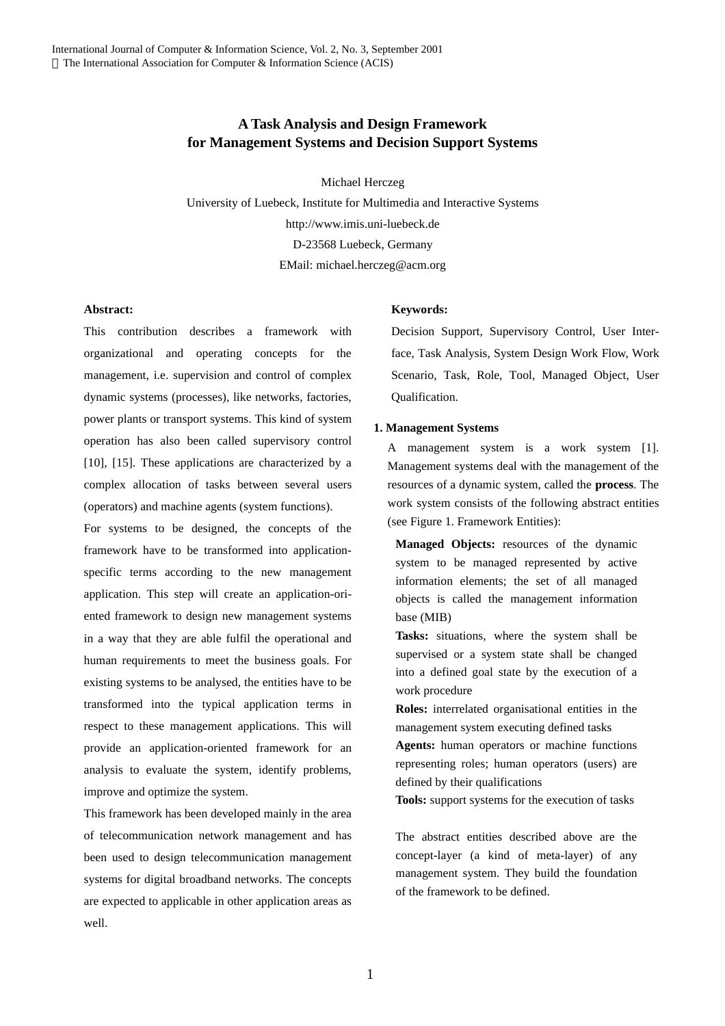# **A Task Analysis and Design Framework for Management Systems and Decision Support Systems**

Michael Herczeg

University of Luebeck, Institute for Multimedia and Interactive Systems http://www.imis.uni-luebeck.de D-23568 Luebeck, Germany EMail: michael.herczeg@acm.org

#### **Abstract:**

This contribution describes a framework with organizational and operating concepts for the management, i.e. supervision and control of complex dynamic systems (processes), like networks, factories, power plants or transport systems. This kind of system operation has also been called supervisory control [10], [15]. These applications are characterized by a complex allocation of tasks between several users (operators) and machine agents (system functions).

For systems to be designed, the concepts of the framework have to be transformed into applicationspecific terms according to the new management application. This step will create an application-oriented framework to design new management systems in a way that they are able fulfil the operational and human requirements to meet the business goals. For existing systems to be analysed, the entities have to be transformed into the typical application terms in respect to these management applications. This will provide an application-oriented framework for an analysis to evaluate the system, identify problems, improve and optimize the system.

This framework has been developed mainly in the area of telecommunication network management and has been used to design telecommunication management systems for digital broadband networks. The concepts are expected to applicable in other application areas as well.

# **Keywords:**

Decision Support, Supervisory Control, User Interface, Task Analysis, System Design Work Flow, Work Scenario, Task, Role, Tool, Managed Object, User Qualification.

#### **1. Management Systems**

A management system is a work system [1]. Management systems deal with the management of the resources of a dynamic system, called the **process**. The work system consists of the following abstract entities (see Figure 1. Framework Entities):

**Managed Objects:** resources of the dynamic system to be managed represented by active information elements; the set of all managed objects is called the management information base (MIB)

**Tasks:** situations, where the system shall be supervised or a system state shall be changed into a defined goal state by the execution of a work procedure

**Roles:** interrelated organisational entities in the management system executing defined tasks

**Agents:** human operators or machine functions representing roles; human operators (users) are defined by their qualifications

**Tools:** support systems for the execution of tasks

The abstract entities described above are the concept-layer (a kind of meta-layer) of any management system. They build the foundation of the framework to be defined.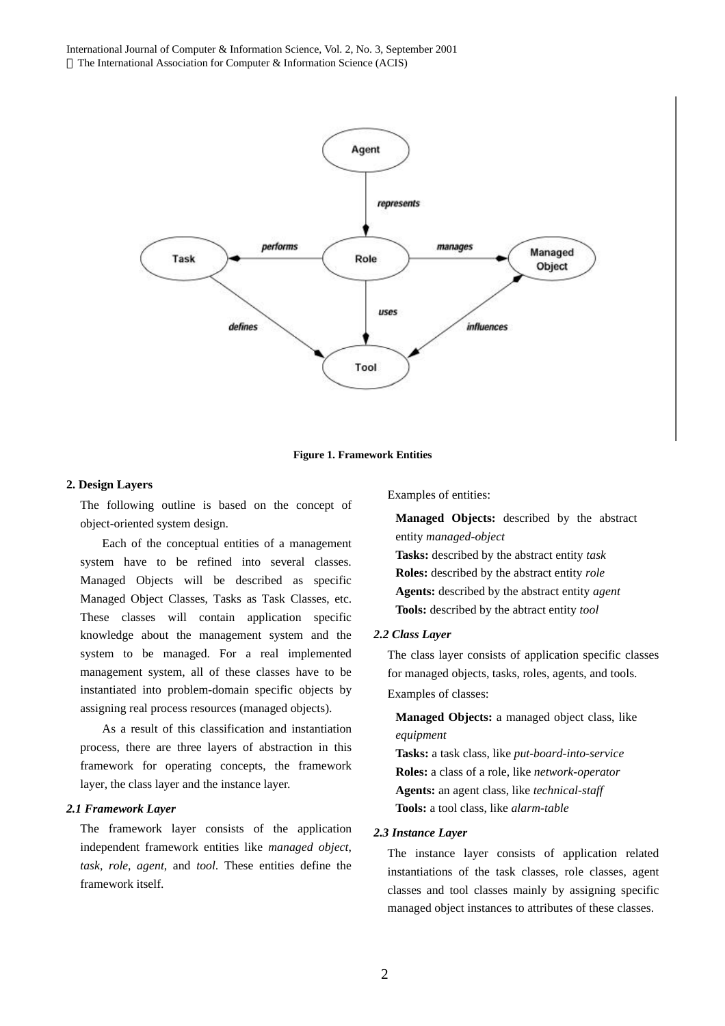



# **2. Design Layers**

The following outline is based on the concept of object-oriented system design.

Each of the conceptual entities of a management system have to be refined into several classes. Managed Objects will be described as specific Managed Object Classes, Tasks as Task Classes, etc. These classes will contain application specific knowledge about the management system and the system to be managed. For a real implemented management system, all of these classes have to be instantiated into problem-domain specific objects by assigning real process resources (managed objects).

As a result of this classification and instantiation process, there are three layers of abstraction in this framework for operating concepts, the framework layer, the class layer and the instance layer.

# *2.1 Framework Layer*

The framework layer consists of the application independent framework entities like *managed object*, *task*, *role*, *agent*, and *tool*. These entities define the framework itself.

Examples of entities:

**Managed Objects:** described by the abstract entity *managed-object* **Tasks:** described by the abstract entity *task* **Roles:** described by the abstract entity *role* **Agents:** described by the abstract entity *agent* **Tools:** described by the abtract entity *tool*

#### *2.2 Class Layer*

The class layer consists of application specific classes for managed objects, tasks, roles, agents, and tools. Examples of classes:

**Managed Objects:** a managed object class, like *equipment*

**Tasks:** a task class, like *put-board-into-service* **Roles:** a class of a role, like *network-operator* **Agents:** an agent class, like *technical-staff* **Tools:** a tool class, like *alarm-table*

#### *2.3 Instance Layer*

The instance layer consists of application related instantiations of the task classes, role classes, agent classes and tool classes mainly by assigning specific managed object instances to attributes of these classes.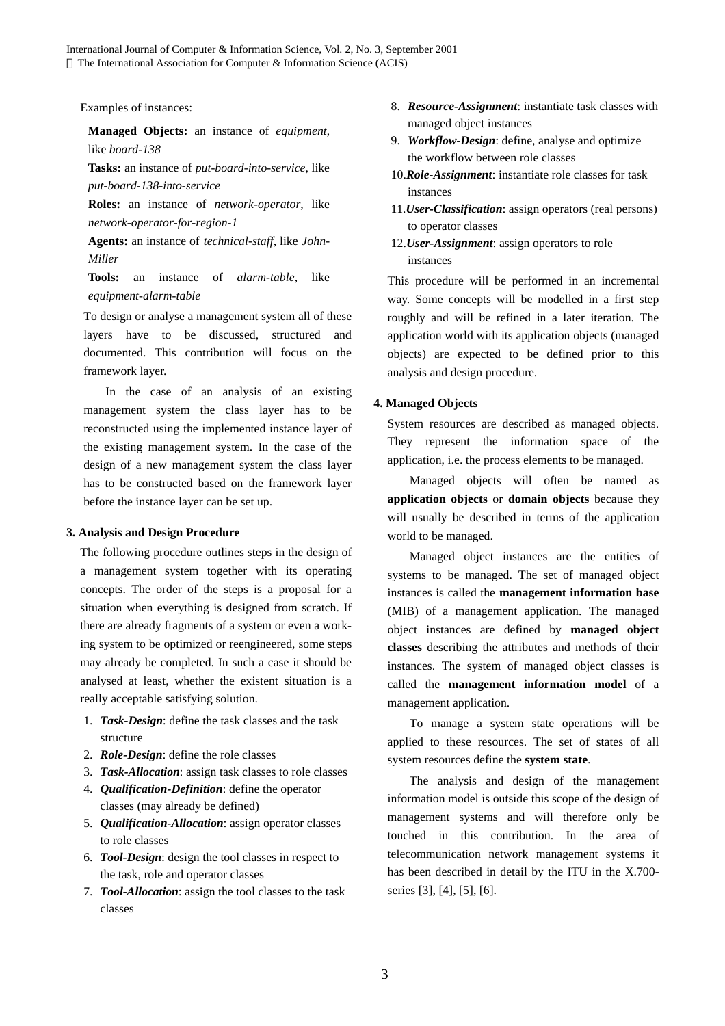# Examples of instances:

**Managed Objects:** an instance of *equipment*, like *board-138*

**Tasks:** an instance of *put-board-into-service*, like *put-board-138-into-service*

**Roles:** an instance of *network-operator*, like *network-operator-for-region-1*

**Agents:** an instance of *technical-staff*, like *John-Miller*

**Tools:** an instance of *alarm-table*, like *equipment-alarm-table*

To design or analyse a management system all of these layers have to be discussed, structured and documented. This contribution will focus on the framework layer.

In the case of an analysis of an existing management system the class layer has to be reconstructed using the implemented instance layer of the existing management system. In the case of the design of a new management system the class layer has to be constructed based on the framework layer before the instance layer can be set up.

#### **3. Analysis and Design Procedure**

The following procedure outlines steps in the design of a management system together with its operating concepts. The order of the steps is a proposal for a situation when everything is designed from scratch. If there are already fragments of a system or even a working system to be optimized or reengineered, some steps may already be completed. In such a case it should be analysed at least, whether the existent situation is a really acceptable satisfying solution.

- 1. *Task-Design*: define the task classes and the task structure
- 2. *Role-Design*: define the role classes
- 3. *Task-Allocation*: assign task classes to role classes
- 4. *Qualification-Definition*: define the operator classes (may already be defined)
- 5. *Qualification-Allocation*: assign operator classes to role classes
- 6. *Tool-Design*: design the tool classes in respect to the task, role and operator classes
- 7. *Tool-Allocation*: assign the tool classes to the task classes
- 8. *Resource-Assignment*: instantiate task classes with managed object instances
- 9. *Workflow-Design*: define, analyse and optimize the workflow between role classes
- 10.*Role-Assignment*: instantiate role classes for task instances
- 11.*User-Classification*: assign operators (real persons) to operator classes
- 12.*User-Assignment*: assign operators to role instances

This procedure will be performed in an incremental way. Some concepts will be modelled in a first step roughly and will be refined in a later iteration. The application world with its application objects (managed objects) are expected to be defined prior to this analysis and design procedure.

#### **4. Managed Objects**

System resources are described as managed objects. They represent the information space of the application, i.e. the process elements to be managed.

Managed objects will often be named as **application objects** or **domain objects** because they will usually be described in terms of the application world to be managed.

Managed object instances are the entities of systems to be managed. The set of managed object instances is called the **management information base** (MIB) of a management application. The managed object instances are defined by **managed object classes** describing the attributes and methods of their instances. The system of managed object classes is called the **management information model** of a management application.

To manage a system state operations will be applied to these resources. The set of states of all system resources define the **system state**.

The analysis and design of the management information model is outside this scope of the design of management systems and will therefore only be touched in this contribution. In the area of telecommunication network management systems it has been described in detail by the ITU in the X.700 series [3], [4], [5], [6].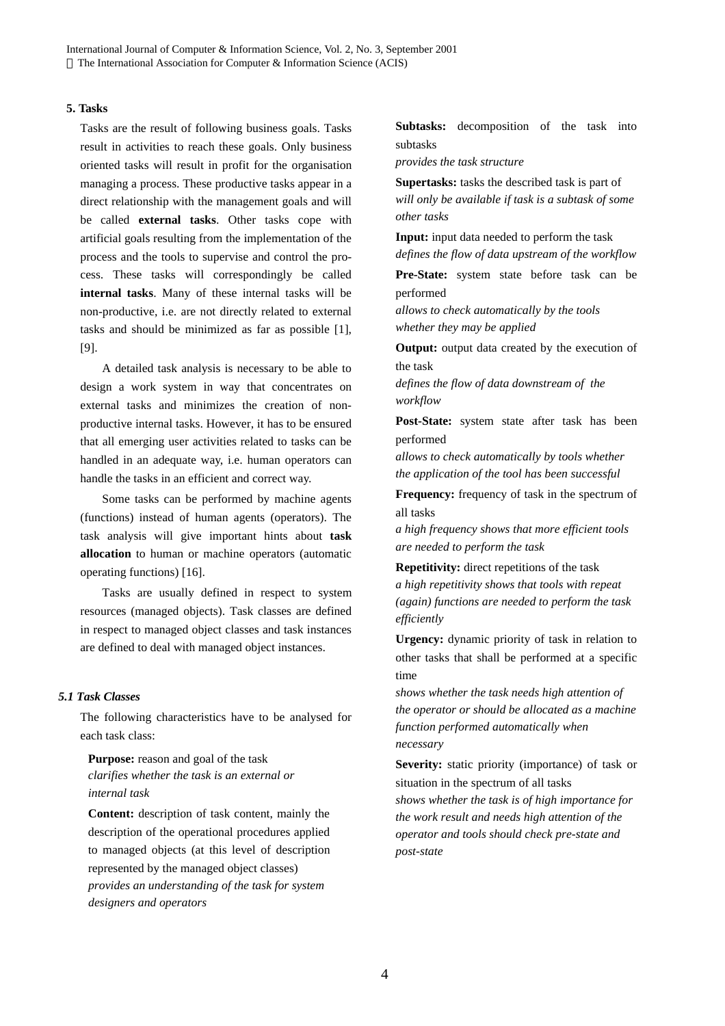# **5. Tasks**

Tasks are the result of following business goals. Tasks result in activities to reach these goals. Only business oriented tasks will result in profit for the organisation managing a process. These productive tasks appear in a direct relationship with the management goals and will be called **external tasks**. Other tasks cope with artificial goals resulting from the implementation of the process and the tools to supervise and control the process. These tasks will correspondingly be called **internal tasks**. Many of these internal tasks will be non-productive, i.e. are not directly related to external tasks and should be minimized as far as possible [1], [9].

A detailed task analysis is necessary to be able to design a work system in way that concentrates on external tasks and minimizes the creation of nonproductive internal tasks. However, it has to be ensured that all emerging user activities related to tasks can be handled in an adequate way, i.e. human operators can handle the tasks in an efficient and correct way.

Some tasks can be performed by machine agents (functions) instead of human agents (operators). The task analysis will give important hints about **task allocation** to human or machine operators (automatic operating functions) [16].

Tasks are usually defined in respect to system resources (managed objects). Task classes are defined in respect to managed object classes and task instances are defined to deal with managed object instances.

# *5.1 Task Classes*

The following characteristics have to be analysed for each task class:

**Purpose:** reason and goal of the task *clarifies whether the task is an external or internal task*

**Content:** description of task content, mainly the description of the operational procedures applied to managed objects (at this level of description represented by the managed object classes) *provides an understanding of the task for system designers and operators*

**Subtasks:** decomposition of the task into subtasks

*provides the task structure*

**Supertasks:** tasks the described task is part of *will only be available if task is a subtask of some other tasks*

**Input:** input data needed to perform the task

*defines the flow of data upstream of the workflow*

**Pre-State:** system state before task can be performed

*allows to check automatically by the tools whether they may be applied*

**Output:** output data created by the execution of the task

*defines the flow of data downstream of the workflow*

**Post-State:** system state after task has been performed

*allows to check automatically by tools whether the application of the tool has been successful*

**Frequency:** frequency of task in the spectrum of all tasks

*a high frequency shows that more efficient tools are needed to perform the task*

**Repetitivity:** direct repetitions of the task *a high repetitivity shows that tools with repeat (again) functions are needed to perform the task efficiently*

**Urgency:** dynamic priority of task in relation to other tasks that shall be performed at a specific time

*shows whether the task needs high attention of the operator or should be allocated as a machine function performed automatically when necessary*

**Severity:** static priority (importance) of task or situation in the spectrum of all tasks *shows whether the task is of high importance for the work result and needs high attention of the operator and tools should check pre-state and post-state*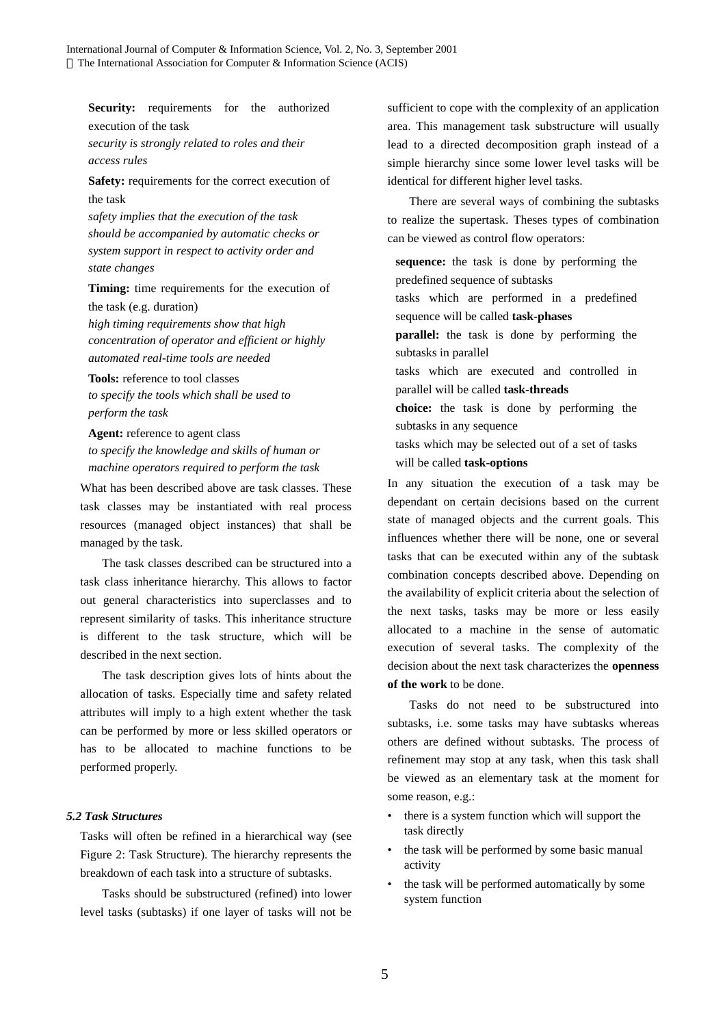**Security:** requirements for the authorized execution of the task *security is strongly related to roles and their access rules*

**Safety:** requirements for the correct execution of the task

*safety implies that the execution of the task should be accompanied by automatic checks or system support in respect to activity order and state changes*

**Timing:** time requirements for the execution of the task (e.g. duration)

*high timing requirements show that high concentration of operator and efficient or highly automated real-time tools are needed*

**Tools:** reference to tool classes *to specify the tools which shall be used to perform the task*

**Agent:** reference to agent class *to specify the knowledge and skills of human or machine operators required to perform the task*

What has been described above are task classes. These task classes may be instantiated with real process resources (managed object instances) that shall be managed by the task.

The task classes described can be structured into a task class inheritance hierarchy. This allows to factor out general characteristics into superclasses and to represent similarity of tasks. This inheritance structure is different to the task structure, which will be described in the next section.

The task description gives lots of hints about the allocation of tasks. Especially time and safety related attributes will imply to a high extent whether the task can be performed by more or less skilled operators or has to be allocated to machine functions to be performed properly.

# *5.2 Task Structures*

Tasks will often be refined in a hierarchical way (see Figure 2: Task Structure). The hierarchy represents the breakdown of each task into a structure of subtasks.

Tasks should be substructured (refined) into lower level tasks (subtasks) if one layer of tasks will not be sufficient to cope with the complexity of an application area. This management task substructure will usually lead to a directed decomposition graph instead of a simple hierarchy since some lower level tasks will be identical for different higher level tasks.

There are several ways of combining the subtasks to realize the supertask. Theses types of combination can be viewed as control flow operators:

**sequence:** the task is done by performing the predefined sequence of subtasks

tasks which are performed in a predefined sequence will be called **task-phases**

**parallel:** the task is done by performing the subtasks in parallel

tasks which are executed and controlled in parallel will be called **task-threads**

**choice:** the task is done by performing the subtasks in any sequence

tasks which may be selected out of a set of tasks will be called **task-options**

In any situation the execution of a task may be dependant on certain decisions based on the current state of managed objects and the current goals. This influences whether there will be none, one or several tasks that can be executed within any of the subtask combination concepts described above. Depending on the availability of explicit criteria about the selection of the next tasks, tasks may be more or less easily allocated to a machine in the sense of automatic execution of several tasks. The complexity of the decision about the next task characterizes the **openness of the work** to be done.

Tasks do not need to be substructured into subtasks, i.e. some tasks may have subtasks whereas others are defined without subtasks. The process of refinement may stop at any task, when this task shall be viewed as an elementary task at the moment for some reason, e.g.:

- there is a system function which will support the task directly
- the task will be performed by some basic manual activity
- the task will be performed automatically by some system function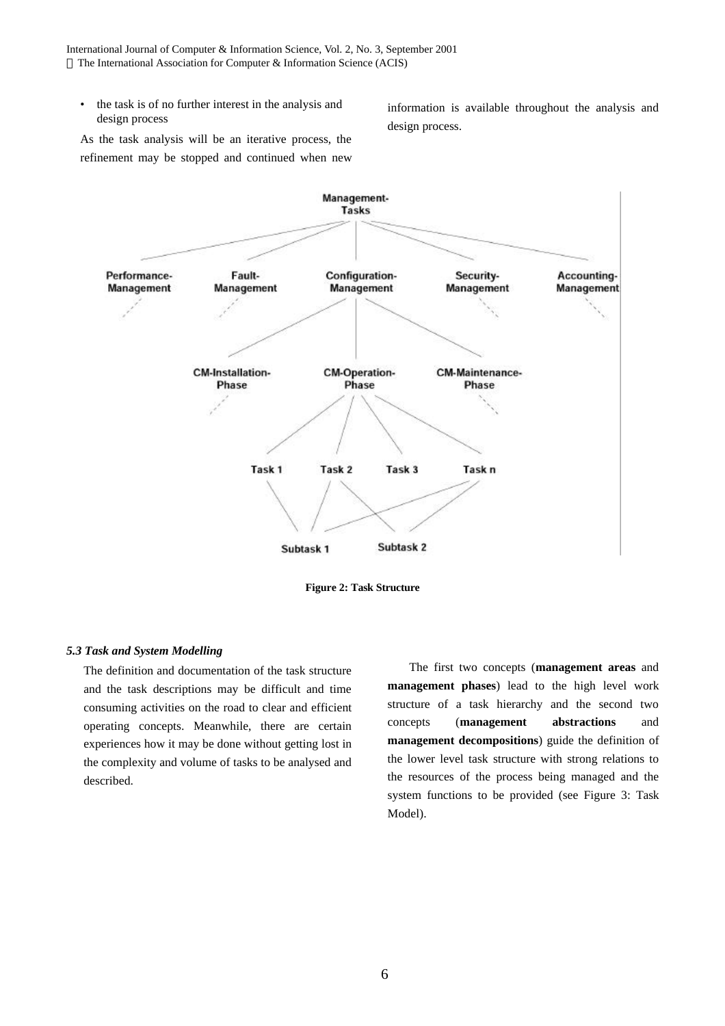• the task is of no further interest in the analysis and design process

information is available throughout the analysis and design process.

As the task analysis will be an iterative process, the refinement may be stopped and continued when new



**Figure 2: Task Structure**

# *5.3 Task and System Modelling*

The definition and documentation of the task structure and the task descriptions may be difficult and time consuming activities on the road to clear and efficient operating concepts. Meanwhile, there are certain experiences how it may be done without getting lost in the complexity and volume of tasks to be analysed and described.

The first two concepts (**management areas** and **management phases**) lead to the high level work structure of a task hierarchy and the second two concepts (**management abstractions** and **management decompositions**) guide the definition of the lower level task structure with strong relations to the resources of the process being managed and the system functions to be provided (see Figure 3: Task Model).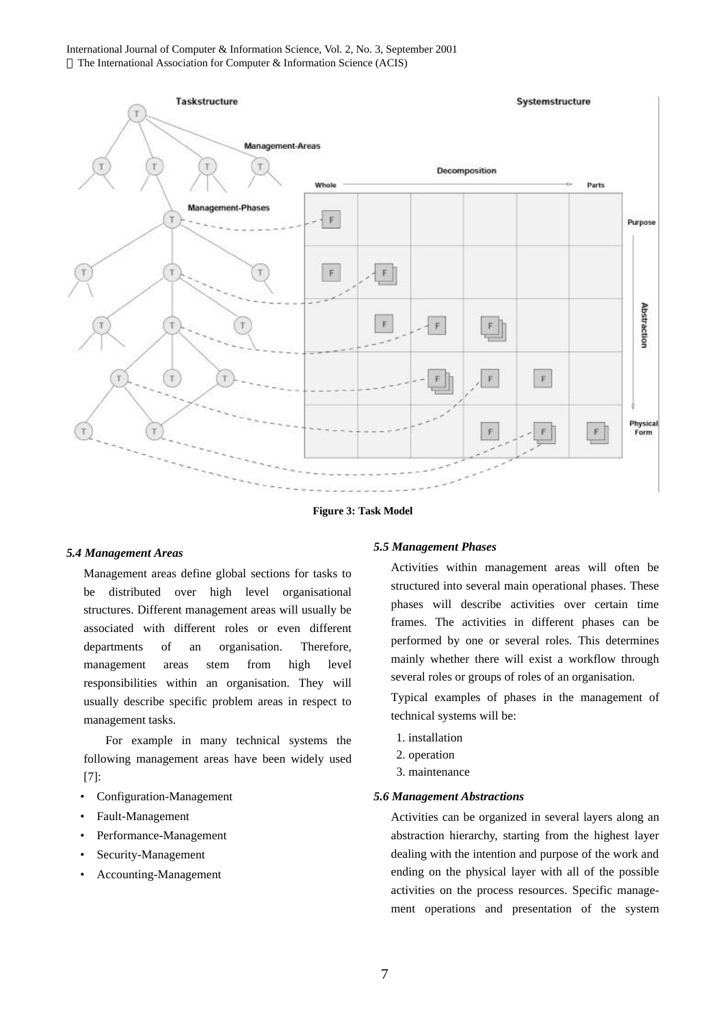

**Figure 3: Task Model**

#### *5.4 Management Areas*

Management areas define global sections for tasks to be distributed over high level organisational structures. Different management areas will usually be associated with different roles or even different departments of an organisation. Therefore, management areas stem from high level responsibilities within an organisation. They will usually describe specific problem areas in respect to management tasks.

For example in many technical systems the following management areas have been widely used [7]:

- Configuration-Management
- Fault-Management
- Performance-Management
- Security-Management
- Accounting-Management

#### *5.5 Management Phases*

Activities within management areas will often be structured into several main operational phases. These phases will describe activities over certain time frames. The activities in different phases can be performed by one or several roles. This determines mainly whether there will exist a workflow through several roles or groups of roles of an organisation.

Typical examples of phases in the management of technical systems will be:

- 1. installation
- 2. operation
- 3. maintenance

#### *5.6 Management Abstractions*

Activities can be organized in several layers along an abstraction hierarchy, starting from the highest layer dealing with the intention and purpose of the work and ending on the physical layer with all of the possible activities on the process resources. Specific management operations and presentation of the system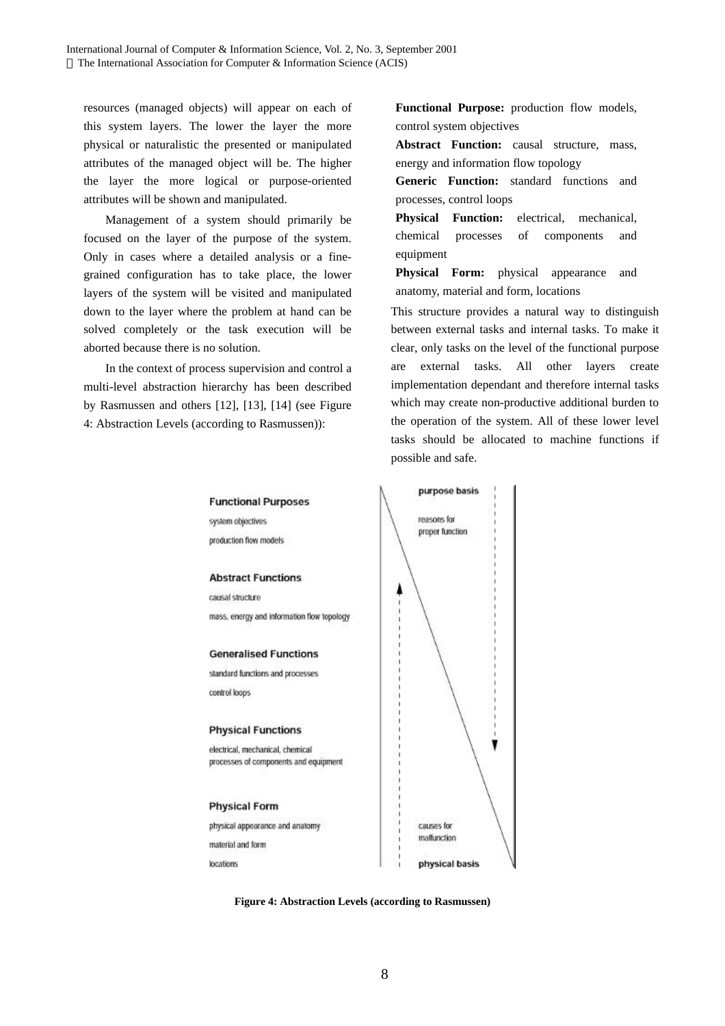resources (managed objects) will appear on each of this system layers. The lower the layer the more physical or naturalistic the presented or manipulated attributes of the managed object will be. The higher the layer the more logical or purpose-oriented attributes will be shown and manipulated.

Management of a system should primarily be focused on the layer of the purpose of the system. Only in cases where a detailed analysis or a finegrained configuration has to take place, the lower layers of the system will be visited and manipulated down to the layer where the problem at hand can be solved completely or the task execution will be aborted because there is no solution.

In the context of process supervision and control a multi-level abstraction hierarchy has been described by Rasmussen and others [12], [13], [14] (see Figure 4: Abstraction Levels (according to Rasmussen)):

**Functional Purpose:** production flow models, control system objectives

**Abstract Function:** causal structure, mass, energy and information flow topology

**Generic Function:** standard functions and processes, control loops

**Physical Function:** electrical, mechanical, chemical processes of components and equipment

**Physical Form:** physical appearance and anatomy, material and form, locations

This structure provides a natural way to distinguish between external tasks and internal tasks. To make it clear, only tasks on the level of the functional purpose are external tasks. All other layers create implementation dependant and therefore internal tasks which may create non-productive additional burden to the operation of the system. All of these lower level tasks should be allocated to machine functions if possible and safe.



**Figure 4: Abstraction Levels (according to Rasmussen)**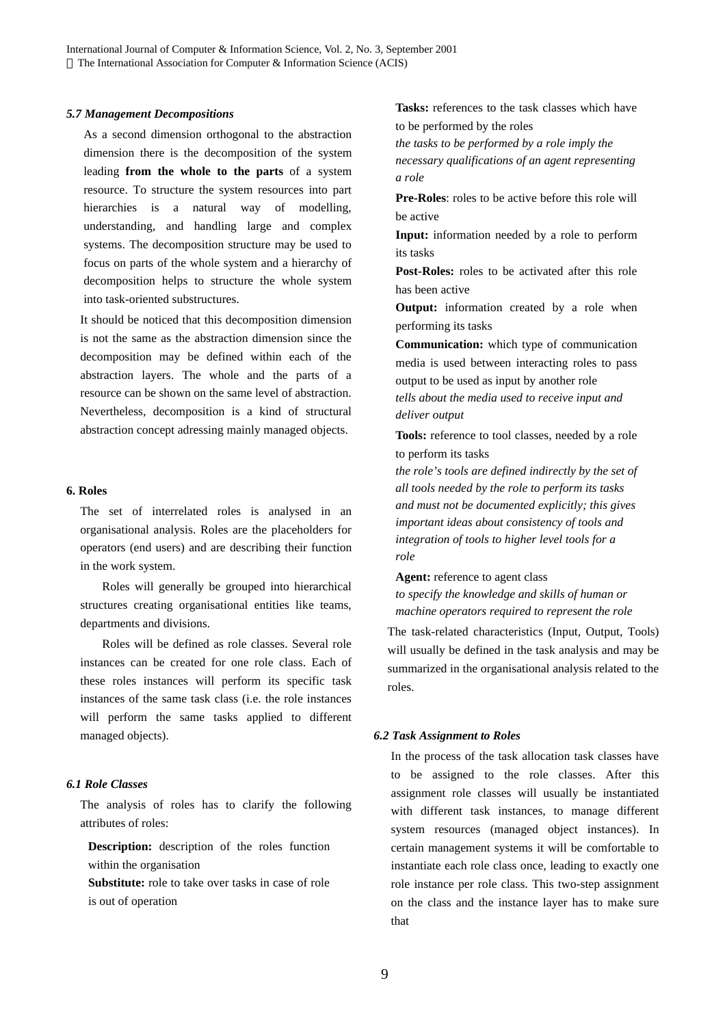#### *5.7 Management Decompositions*

As a second dimension orthogonal to the abstraction dimension there is the decomposition of the system leading **from the whole to the parts** of a system resource. To structure the system resources into part hierarchies is a natural way of modelling, understanding, and handling large and complex systems. The decomposition structure may be used to focus on parts of the whole system and a hierarchy of decomposition helps to structure the whole system into task-oriented substructures.

It should be noticed that this decomposition dimension is not the same as the abstraction dimension since the decomposition may be defined within each of the abstraction layers. The whole and the parts of a resource can be shown on the same level of abstraction. Nevertheless, decomposition is a kind of structural abstraction concept adressing mainly managed objects.

# **6. Roles**

The set of interrelated roles is analysed in an organisational analysis. Roles are the placeholders for operators (end users) and are describing their function in the work system.

Roles will generally be grouped into hierarchical structures creating organisational entities like teams, departments and divisions.

Roles will be defined as role classes. Several role instances can be created for one role class. Each of these roles instances will perform its specific task instances of the same task class (i.e. the role instances will perform the same tasks applied to different managed objects).

# *6.1 Role Classes*

The analysis of roles has to clarify the following attributes of roles:

**Description:** description of the roles function within the organisation

**Substitute:** role to take over tasks in case of role is out of operation

**Tasks:** references to the task classes which have to be performed by the roles

*the tasks to be performed by a role imply the necessary qualifications of an agent representing a role*

**Pre-Roles**: roles to be active before this role will be active

**Input:** information needed by a role to perform its tasks

**Post-Roles:** roles to be activated after this role has been active

**Output:** information created by a role when performing its tasks

**Communication:** which type of communication media is used between interacting roles to pass output to be used as input by another role

*tells about the media used to receive input and deliver output*

**Tools:** reference to tool classes, needed by a role to perform its tasks

*the role's tools are defined indirectly by the set of all tools needed by the role to perform its tasks and must not be documented explicitly; this gives important ideas about consistency of tools and integration of tools to higher level tools for a role*

#### **Agent:** reference to agent class

*to specify the knowledge and skills of human or machine operators required to represent the role*

The task-related characteristics (Input, Output, Tools) will usually be defined in the task analysis and may be summarized in the organisational analysis related to the roles.

# *6.2 Task Assignment to Roles*

In the process of the task allocation task classes have to be assigned to the role classes. After this assignment role classes will usually be instantiated with different task instances, to manage different system resources (managed object instances). In certain management systems it will be comfortable to instantiate each role class once, leading to exactly one role instance per role class. This two-step assignment on the class and the instance layer has to make sure that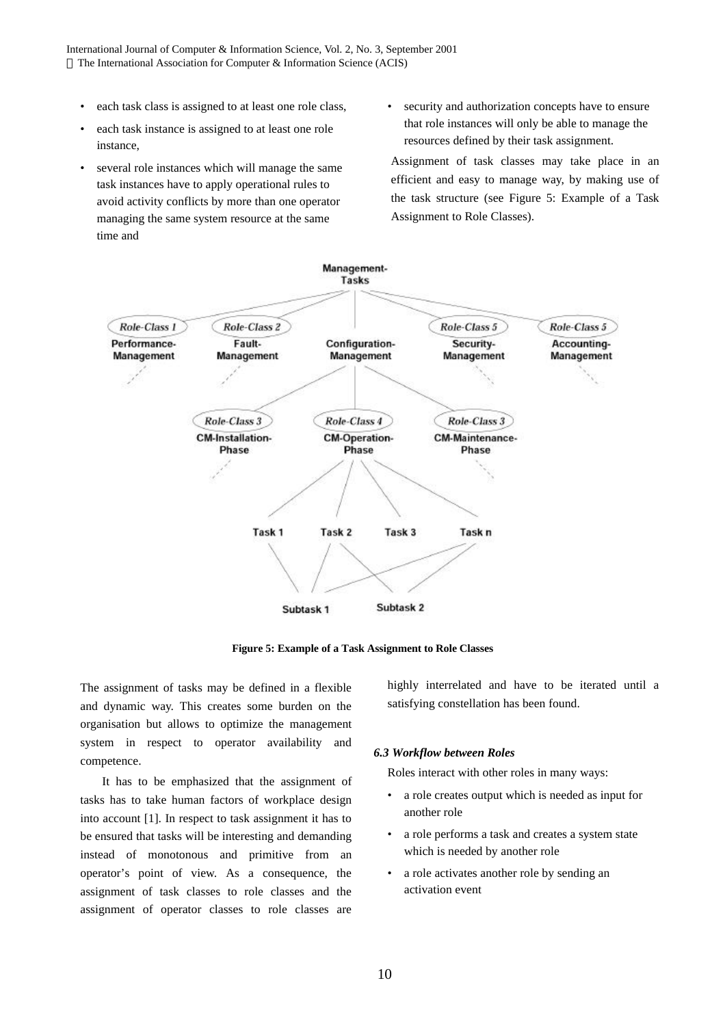- each task class is assigned to at least one role class,
- each task instance is assigned to at least one role instance,
- several role instances which will manage the same task instances have to apply operational rules to avoid activity conflicts by more than one operator managing the same system resource at the same time and
- security and authorization concepts have to ensure that role instances will only be able to manage the resources defined by their task assignment.

Assignment of task classes may take place in an efficient and easy to manage way, by making use of the task structure (see Figure 5: Example of a Task Assignment to Role Classes).



**Figure 5: Example of a Task Assignment to Role Classes**

The assignment of tasks may be defined in a flexible and dynamic way. This creates some burden on the organisation but allows to optimize the management system in respect to operator availability and competence.

It has to be emphasized that the assignment of tasks has to take human factors of workplace design into account [1]. In respect to task assignment it has to be ensured that tasks will be interesting and demanding instead of monotonous and primitive from an operator's point of view. As a consequence, the assignment of task classes to role classes and the assignment of operator classes to role classes are highly interrelated and have to be iterated until a satisfying constellation has been found.

# *6.3 Workflow between Roles*

Roles interact with other roles in many ways:

- a role creates output which is needed as input for another role
- a role performs a task and creates a system state which is needed by another role
- a role activates another role by sending an activation event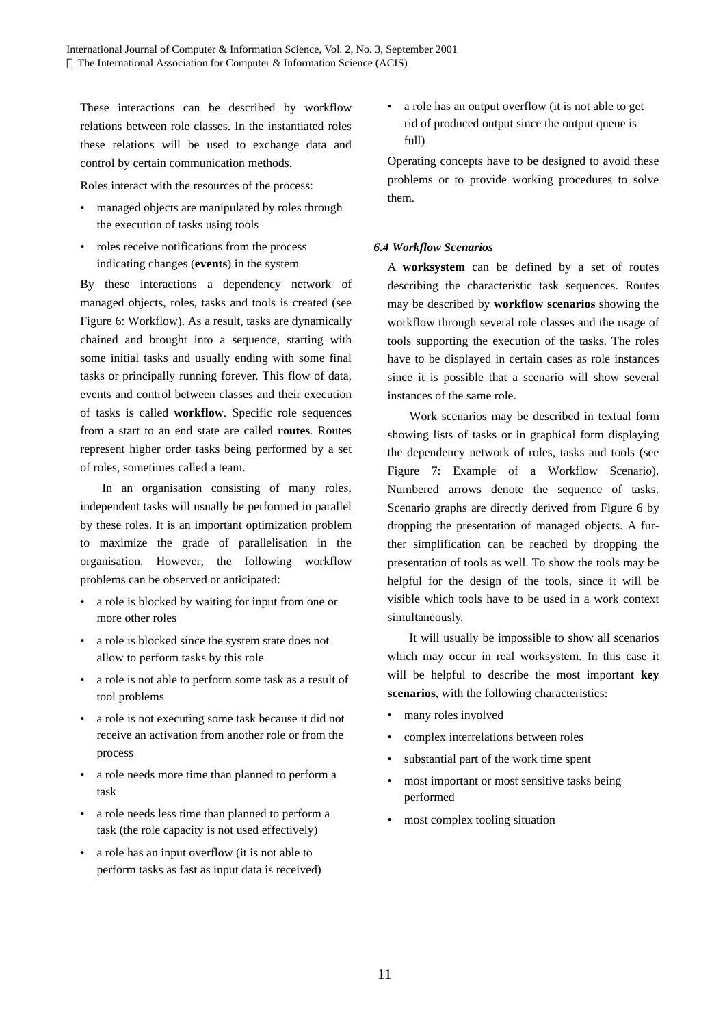These interactions can be described by workflow relations between role classes. In the instantiated roles these relations will be used to exchange data and control by certain communication methods.

Roles interact with the resources of the process:

- managed objects are manipulated by roles through the execution of tasks using tools
- roles receive notifications from the process indicating changes (**events**) in the system

By these interactions a dependency network of managed objects, roles, tasks and tools is created (see Figure 6: Workflow). As a result, tasks are dynamically chained and brought into a sequence, starting with some initial tasks and usually ending with some final tasks or principally running forever. This flow of data, events and control between classes and their execution of tasks is called **workflow**. Specific role sequences from a start to an end state are called **routes**. Routes represent higher order tasks being performed by a set of roles, sometimes called a team.

In an organisation consisting of many roles, independent tasks will usually be performed in parallel by these roles. It is an important optimization problem to maximize the grade of parallelisation in the organisation. However, the following workflow problems can be observed or anticipated:

- a role is blocked by waiting for input from one or more other roles
- a role is blocked since the system state does not allow to perform tasks by this role
- a role is not able to perform some task as a result of tool problems
- a role is not executing some task because it did not receive an activation from another role or from the process
- a role needs more time than planned to perform a task
- a role needs less time than planned to perform a task (the role capacity is not used effectively)
- a role has an input overflow (it is not able to perform tasks as fast as input data is received)

• a role has an output overflow (it is not able to get rid of produced output since the output queue is full)

Operating concepts have to be designed to avoid these problems or to provide working procedures to solve them.

# *6.4 Workflow Scenarios*

A **worksystem** can be defined by a set of routes describing the characteristic task sequences. Routes may be described by **workflow scenarios** showing the workflow through several role classes and the usage of tools supporting the execution of the tasks. The roles have to be displayed in certain cases as role instances since it is possible that a scenario will show several instances of the same role.

Work scenarios may be described in textual form showing lists of tasks or in graphical form displaying the dependency network of roles, tasks and tools (see Figure 7: Example of a Workflow Scenario). Numbered arrows denote the sequence of tasks. Scenario graphs are directly derived from Figure 6 by dropping the presentation of managed objects. A further simplification can be reached by dropping the presentation of tools as well. To show the tools may be helpful for the design of the tools, since it will be visible which tools have to be used in a work context simultaneously.

It will usually be impossible to show all scenarios which may occur in real worksystem. In this case it will be helpful to describe the most important **key scenarios**, with the following characteristics:

- many roles involved
- complex interrelations between roles
- substantial part of the work time spent
- most important or most sensitive tasks being performed
- most complex tooling situation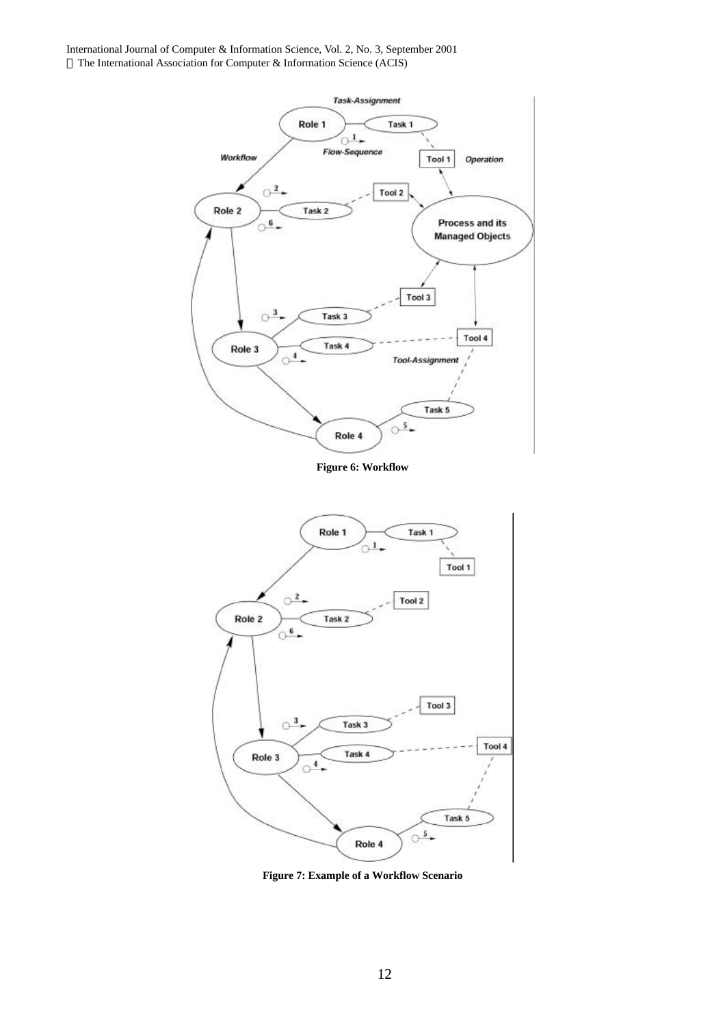

**Figure 6: Workflow**



**Figure 7: Example of a Workflow Scenario**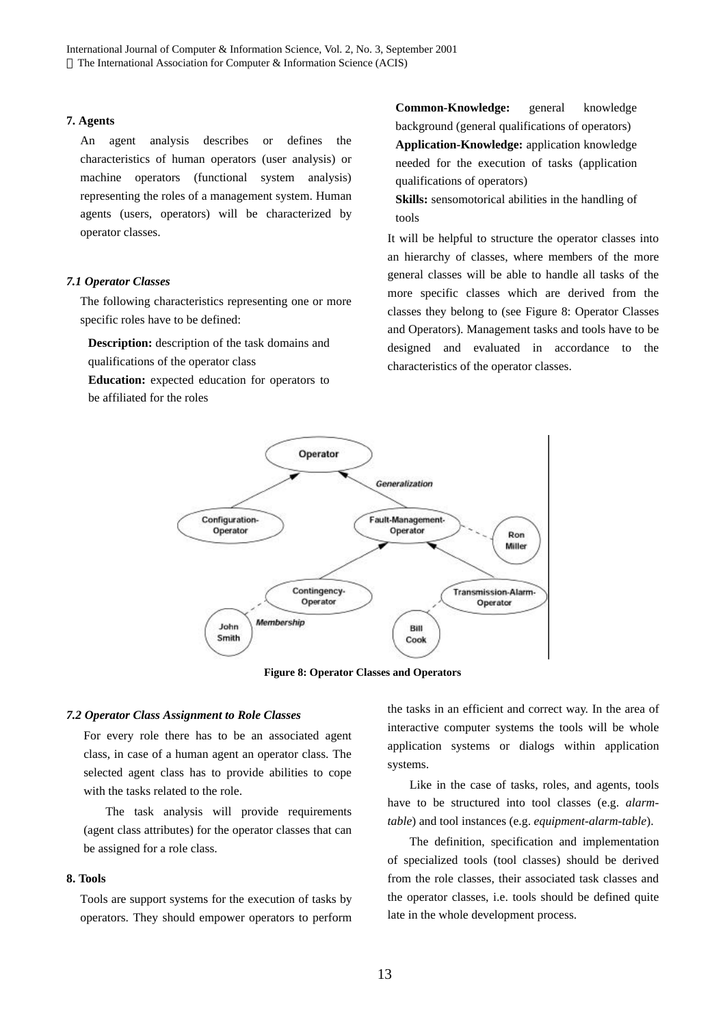# **7. Agents**

An agent analysis describes or defines the characteristics of human operators (user analysis) or machine operators (functional system analysis) representing the roles of a management system. Human agents (users, operators) will be characterized by operator classes.

# *7.1 Operator Classes*

The following characteristics representing one or more specific roles have to be defined:

**Description:** description of the task domains and qualifications of the operator class

**Education:** expected education for operators to be affiliated for the roles

**Common-Knowledge:** general knowledge background (general qualifications of operators) **Application-Knowledge:** application knowledge needed for the execution of tasks (application qualifications of operators)

**Skills:** sensomotorical abilities in the handling of tools

It will be helpful to structure the operator classes into an hierarchy of classes, where members of the more general classes will be able to handle all tasks of the more specific classes which are derived from the classes they belong to (see Figure 8: Operator Classes and Operators). Management tasks and tools have to be designed and evaluated in accordance to the characteristics of the operator classes.



**Figure 8: Operator Classes and Operators**

# *7.2 Operator Class Assignment to Role Classes*

For every role there has to be an associated agent class, in case of a human agent an operator class. The selected agent class has to provide abilities to cope with the tasks related to the role.

The task analysis will provide requirements (agent class attributes) for the operator classes that can be assigned for a role class.

# **8. Tools**

Tools are support systems for the execution of tasks by operators. They should empower operators to perform the tasks in an efficient and correct way. In the area of interactive computer systems the tools will be whole application systems or dialogs within application systems.

Like in the case of tasks, roles, and agents, tools have to be structured into tool classes (e.g. *alarmtable*) and tool instances (e.g. *equipment-alarm-table*).

The definition, specification and implementation of specialized tools (tool classes) should be derived from the role classes, their associated task classes and the operator classes, i.e. tools should be defined quite late in the whole development process.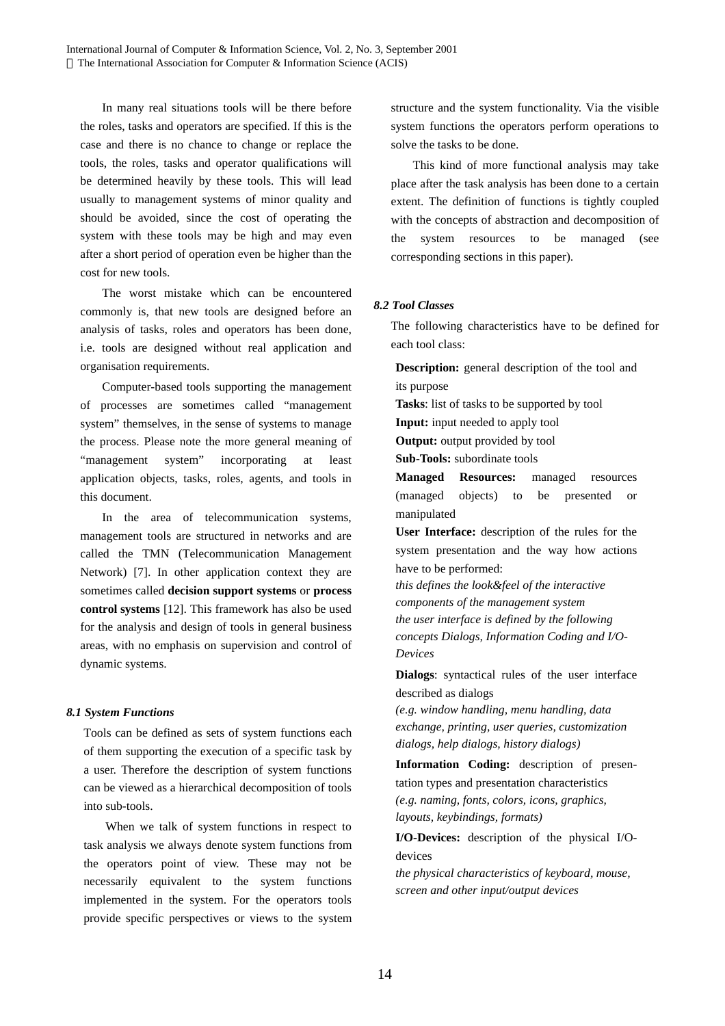In many real situations tools will be there before the roles, tasks and operators are specified. If this is the case and there is no chance to change or replace the tools, the roles, tasks and operator qualifications will be determined heavily by these tools. This will lead usually to management systems of minor quality and should be avoided, since the cost of operating the system with these tools may be high and may even after a short period of operation even be higher than the cost for new tools.

The worst mistake which can be encountered commonly is, that new tools are designed before an analysis of tasks, roles and operators has been done, i.e. tools are designed without real application and organisation requirements.

Computer-based tools supporting the management of processes are sometimes called "management system" themselves, in the sense of systems to manage the process. Please note the more general meaning of "management system" incorporating at least application objects, tasks, roles, agents, and tools in this document.

In the area of telecommunication systems, management tools are structured in networks and are called the TMN (Telecommunication Management Network) [7]. In other application context they are sometimes called **decision support systems** or **process control systems** [12]. This framework has also be used for the analysis and design of tools in general business areas, with no emphasis on supervision and control of dynamic systems.

# *8.1 System Functions*

Tools can be defined as sets of system functions each of them supporting the execution of a specific task by a user. Therefore the description of system functions can be viewed as a hierarchical decomposition of tools into sub-tools.

When we talk of system functions in respect to task analysis we always denote system functions from the operators point of view. These may not be necessarily equivalent to the system functions implemented in the system. For the operators tools provide specific perspectives or views to the system structure and the system functionality. Via the visible system functions the operators perform operations to solve the tasks to be done.

This kind of more functional analysis may take place after the task analysis has been done to a certain extent. The definition of functions is tightly coupled with the concepts of abstraction and decomposition of the system resources to be managed (see corresponding sections in this paper).

# *8.2 Tool Classes*

The following characteristics have to be defined for each tool class:

**Description:** general description of the tool and its purpose

**Tasks**: list of tasks to be supported by tool

**Input:** input needed to apply tool

**Output:** output provided by tool

**Sub-Tools:** subordinate tools

**Managed Resources:** managed resources (managed objects) to be presented or manipulated

**User Interface:** description of the rules for the system presentation and the way how actions have to be performed:

*this defines the look&feel of the interactive components of the management system the user interface is defined by the following concepts Dialogs, Information Coding and I/O-Devices*

**Dialogs**: syntactical rules of the user interface described as dialogs

*(e.g. window handling, menu handling, data exchange, printing, user queries, customization dialogs, help dialogs, history dialogs)*

**Information Coding:** description of presentation types and presentation characteristics *(e.g. naming, fonts, colors, icons, graphics, layouts, keybindings, formats)*

**I/O-Devices:** description of the physical I/Odevices

*the physical characteristics of keyboard, mouse, screen and other input/output devices*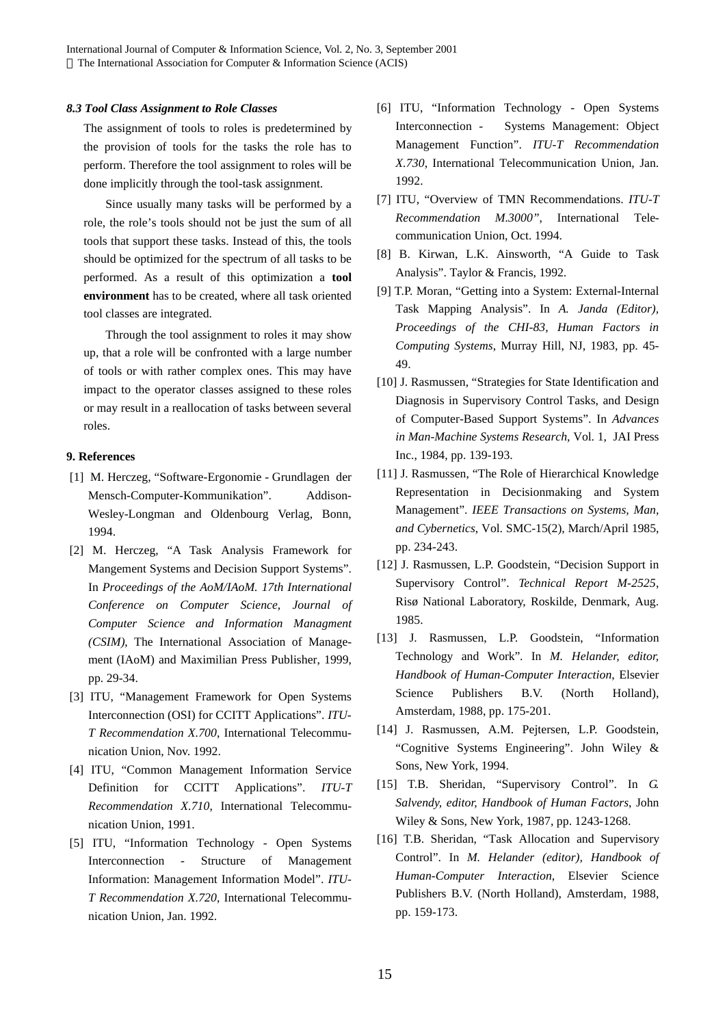#### *8.3 Tool Class Assignment to Role Classes*

The assignment of tools to roles is predetermined by the provision of tools for the tasks the role has to perform. Therefore the tool assignment to roles will be done implicitly through the tool-task assignment.

Since usually many tasks will be performed by a role, the role's tools should not be just the sum of all tools that support these tasks. Instead of this, the tools should be optimized for the spectrum of all tasks to be performed. As a result of this optimization a **tool environment** has to be created, where all task oriented tool classes are integrated.

Through the tool assignment to roles it may show up, that a role will be confronted with a large number of tools or with rather complex ones. This may have impact to the operator classes assigned to these roles or may result in a reallocation of tasks between several roles.

# **9. References**

- [1] M. Herczeg, "Software-Ergonomie Grundlagen der Mensch-Computer-Kommunikation". Addison-Wesley-Longman and Oldenbourg Verlag, Bonn, 1994.
- [2] M. Herczeg, "A Task Analysis Framework for Mangement Systems and Decision Support Systems". In *Proceedings of the AoM/IAoM. 17th International Conference on Computer Science*, *Journal of Computer Science and Information Managment (CSIM)*, The International Association of Management (IAoM) and Maximilian Press Publisher, 1999, pp. 29-34.
- [3] ITU, "Management Framework for Open Systems Interconnection (OSI) for CCITT Applications". *ITU-T Recommendation X.700*, International Telecommunication Union, Nov. 1992.
- [4] ITU, "Common Management Information Service Definition for CCITT Applications". *ITU-T Recommendation X.710*, International Telecommunication Union, 1991.
- [5] ITU, "Information Technology Open Systems Interconnection - Structure of Management Information: Management Information Model". *ITU-T Recommendation X.720*, International Telecommunication Union, Jan. 1992.
- [6] ITU, "Information Technology Open Systems Interconnection - Systems Management: Object Management Function". *ITU-T Recommendation X.730*, International Telecommunication Union, Jan. 1992.
- [7] ITU, "Overview of TMN Recommendations. *ITU-T Recommendation M.3000"*, International Telecommunication Union, Oct. 1994.
- [8] B. Kirwan, L.K. Ainsworth, "A Guide to Task Analysis". Taylor & Francis, 1992.
- [9] T.P. Moran, "Getting into a System: External-Internal Task Mapping Analysis". In *A. Janda (Editor), Proceedings of the CHI-83, Human Factors in Computing Systems*, Murray Hill, NJ, 1983, pp. 45- 49.
- [10] J. Rasmussen, "Strategies for State Identification and Diagnosis in Supervisory Control Tasks, and Design of Computer-Based Support Systems". In *Advances in Man-Machine Systems Research*, Vol. 1, JAI Press Inc., 1984, pp. 139-193.
- [11] J. Rasmussen, "The Role of Hierarchical Knowledge Representation in Decisionmaking and System Management". *IEEE Transactions on Systems, Man, and Cybernetics*, Vol. SMC-15(2), March/April 1985, pp. 234-243.
- [12] J. Rasmussen, L.P. Goodstein, "Decision Support in Supervisory Control". *Technical Report M-2525*, Risø National Laboratory, Roskilde, Denmark, Aug. 1985.
- [13] J. Rasmussen, L.P. Goodstein, "Information Technology and Work". In *M. Helander, editor, Handbook of Human-Computer Interaction*, Elsevier Science Publishers B.V. (North Holland), Amsterdam, 1988, pp. 175-201.
- [14] J. Rasmussen, A.M. Pejtersen, L.P. Goodstein, "Cognitive Systems Engineering". John Wiley & Sons, New York, 1994.
- [15] T.B. Sheridan, "Supervisory Control". In *G. Salvendy, editor, Handbook of Human Factors*, John Wiley & Sons, New York, 1987, pp. 1243-1268.
- [16] T.B. Sheridan, "Task Allocation and Supervisory Control". In *M. Helander (editor), Handbook of Human-Computer Interaction*, Elsevier Science Publishers B.V. (North Holland), Amsterdam, 1988, pp. 159-173.